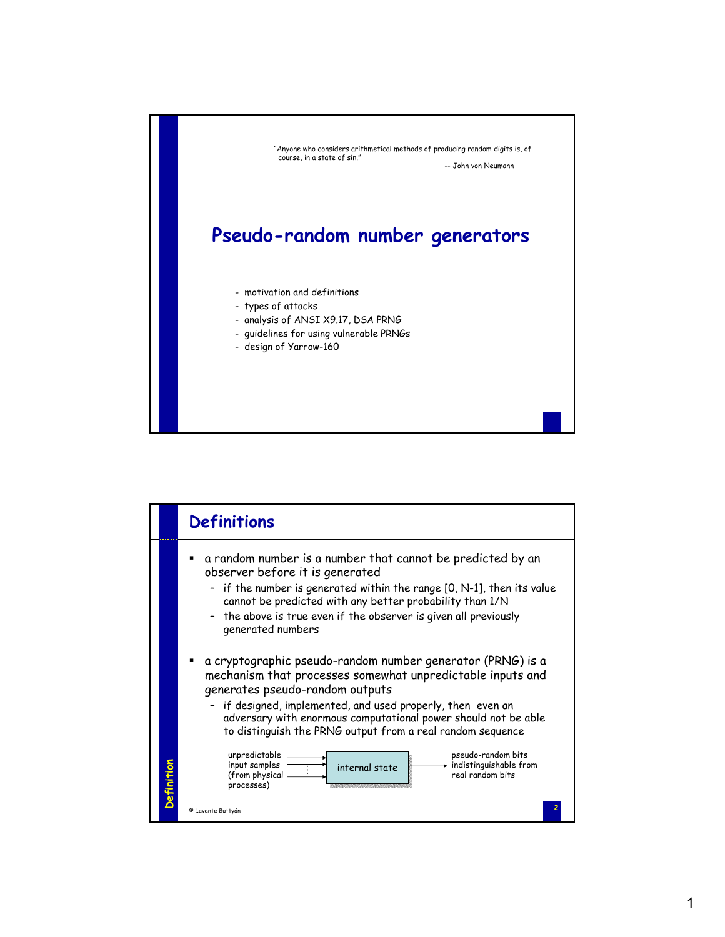

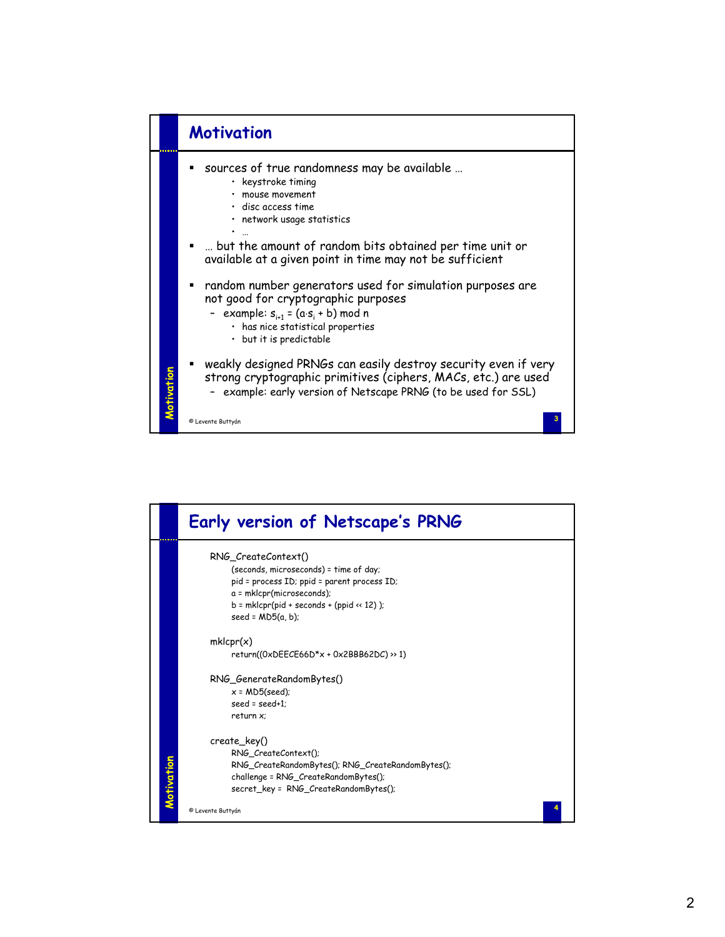

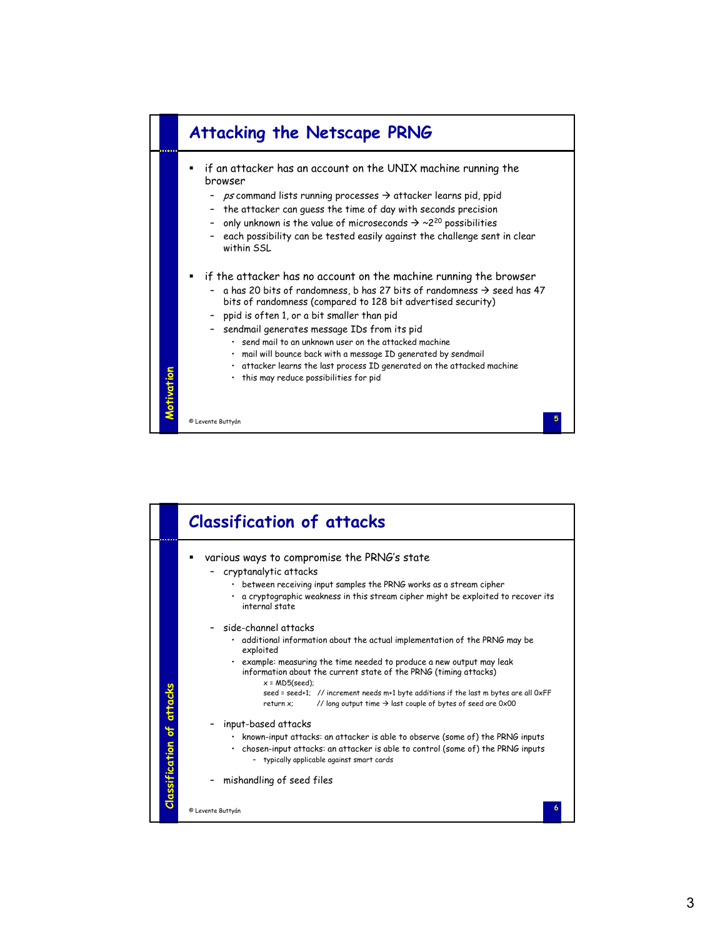

|                                  | <b>Classification of attacks</b>                                                                                                                                                                                                                                                                                                                                                                                                                                    |
|----------------------------------|---------------------------------------------------------------------------------------------------------------------------------------------------------------------------------------------------------------------------------------------------------------------------------------------------------------------------------------------------------------------------------------------------------------------------------------------------------------------|
|                                  | various ways to compromise the PRNG's state<br>cryptanalytic attacks<br>between receiving input samples the PRNG works as a stream cipher<br>$\bullet$<br>a cryptographic weakness in this stream cipher might be exploited to recover its<br>internal state                                                                                                                                                                                                        |
|                                  | side-channel attacks<br>. additional information about the actual implementation of the PRNG may be<br>exploited<br>. example: measuring the time needed to produce a new output may leak<br>information about the current state of the PRNG (timing attacks)<br>$x = MDS(seed)$ ;<br>seed = seed+1; // increment needs m+1 byte additions if the last m bytes are all OxFF<br>// long output time $\rightarrow$ last couple of bytes of seed are 0x00<br>return x: |
| <b>Classification of attacks</b> | input-based attacks<br>known-input attacks: an attacker is able to observe (some of) the PRNG inputs<br>٠<br>. chosen-input attacks: an attacker is able to control (some of) the PRNG inputs<br>- typically applicable against smart cards<br>mishandling of seed files                                                                                                                                                                                            |
|                                  | © Levente Buttyán                                                                                                                                                                                                                                                                                                                                                                                                                                                   |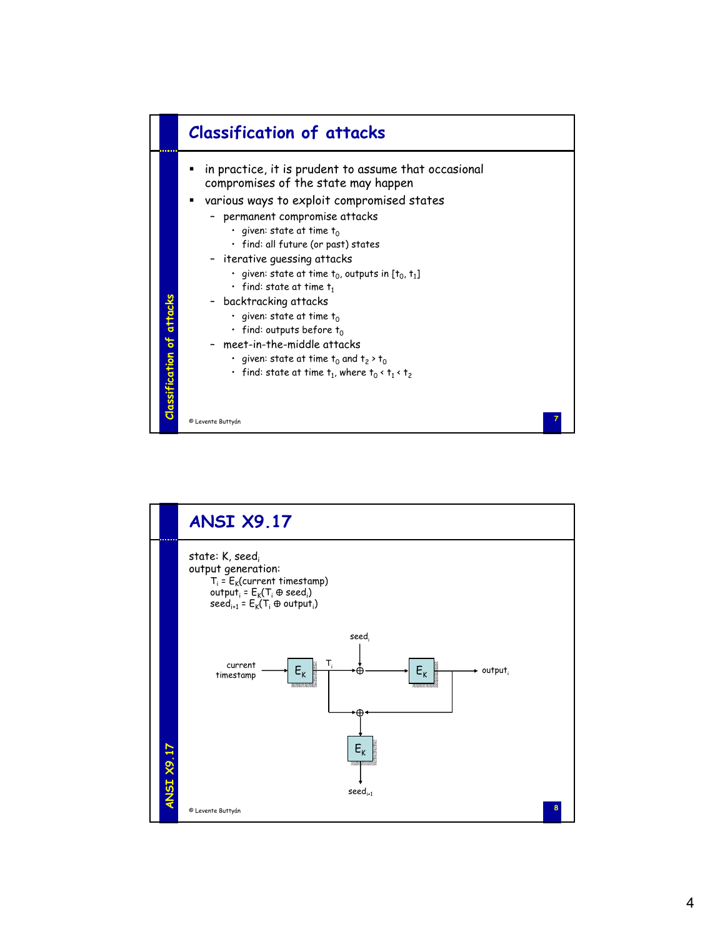

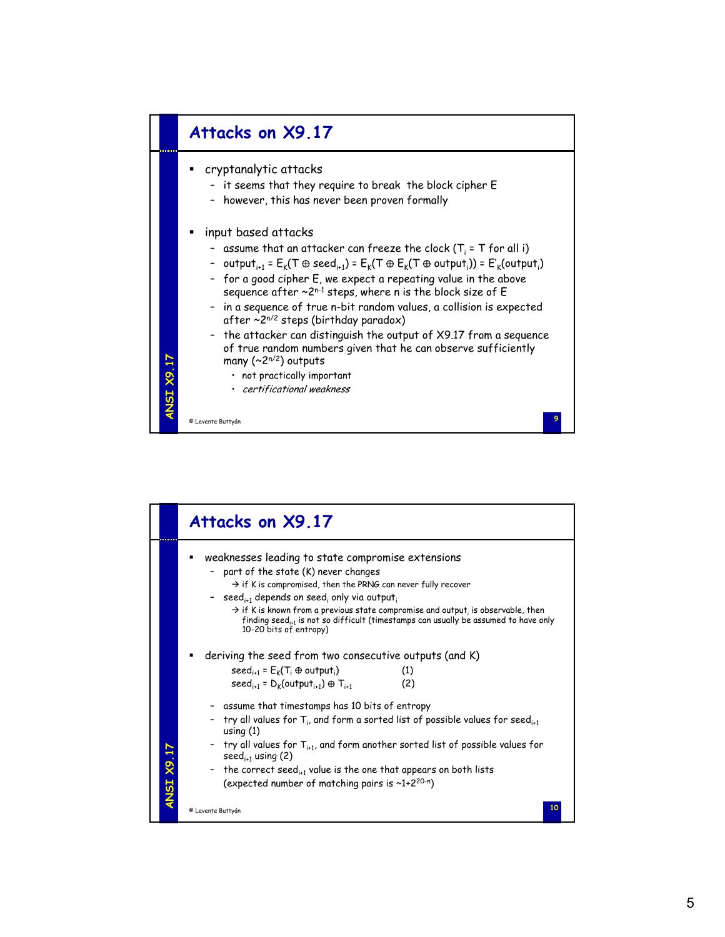

|            | Attacks on X9.17                                                                                                                                                                                                                                                                                                                                                                                                                                                                                                                                                                                                        |
|------------|-------------------------------------------------------------------------------------------------------------------------------------------------------------------------------------------------------------------------------------------------------------------------------------------------------------------------------------------------------------------------------------------------------------------------------------------------------------------------------------------------------------------------------------------------------------------------------------------------------------------------|
|            | weaknesses leading to state compromise extensions<br>part of the state (K) never changes<br>$\rightarrow$ if K is compromised, then the PRNG can never fully recover<br>- seed <sub>i+1</sub> depends on seed; only via output;<br>$\rightarrow$ if K is known from a previous state compromise and output, is observable, then<br>finding seed <sub>i1</sub> is not so difficult (timestamps can usually be assumed to have only<br>10-20 bits of entropy)                                                                                                                                                             |
| ANSI X9.17 | deriving the seed from two consecutive outputs (and K)<br>$seed_{i+1} = E_k(T_i \oplus output_i)$<br>(1)<br>$seed_{i+1} = D_k(output_{i+1}) \oplus T_{i+1}$<br>(2)<br>- assume that timestamps has 10 bits of entropy<br>try all values for $T_{i}$ , and form a sorted list of possible values for seed <sub>it</sub><br>using $(1)$<br>- try all values for $T_{i+1}$ , and form another sorted list of possible values for<br>seed <sub>i-1</sub> using $(2)$<br>- the correct seed <sub>it1</sub> value is the one that appears on both lists<br>(expected number of matching pairs is $\sim$ 1+2 <sup>20-n</sup> ) |
|            | 10<br>© Levente Buttyán                                                                                                                                                                                                                                                                                                                                                                                                                                                                                                                                                                                                 |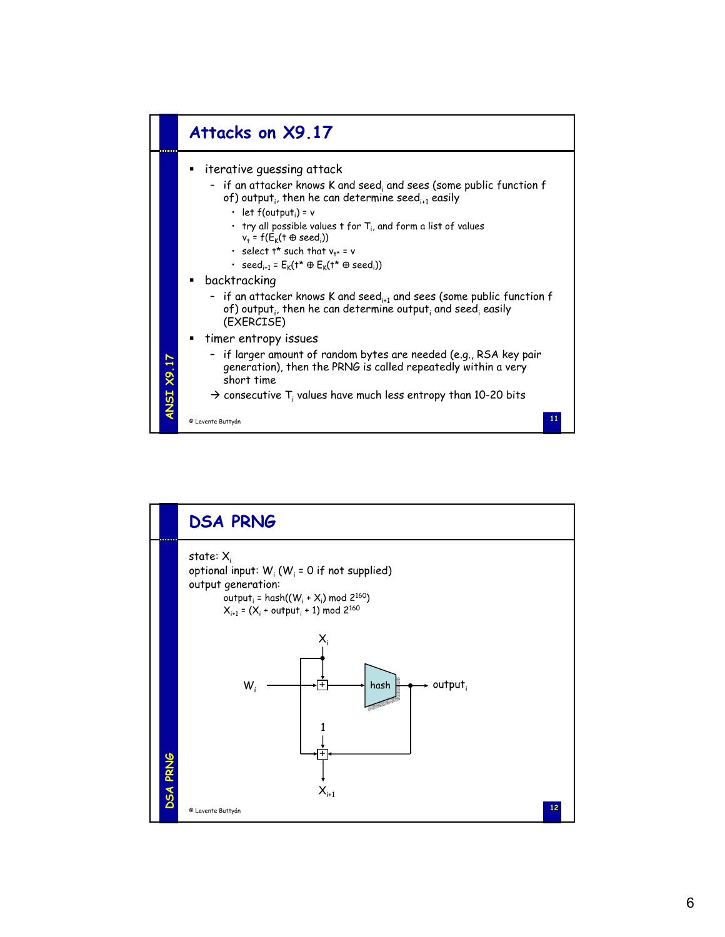

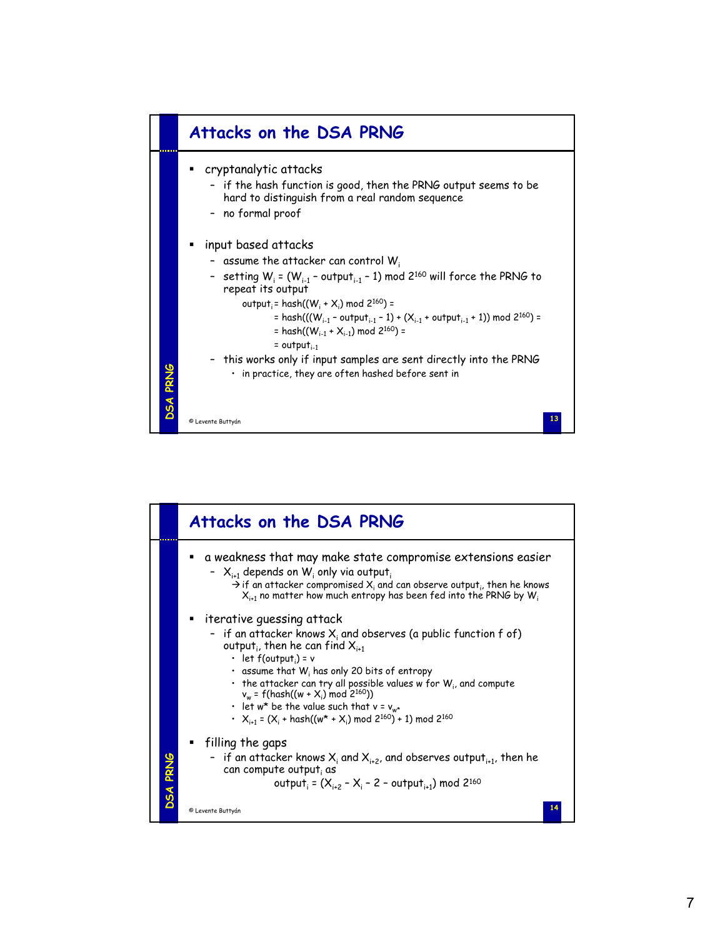

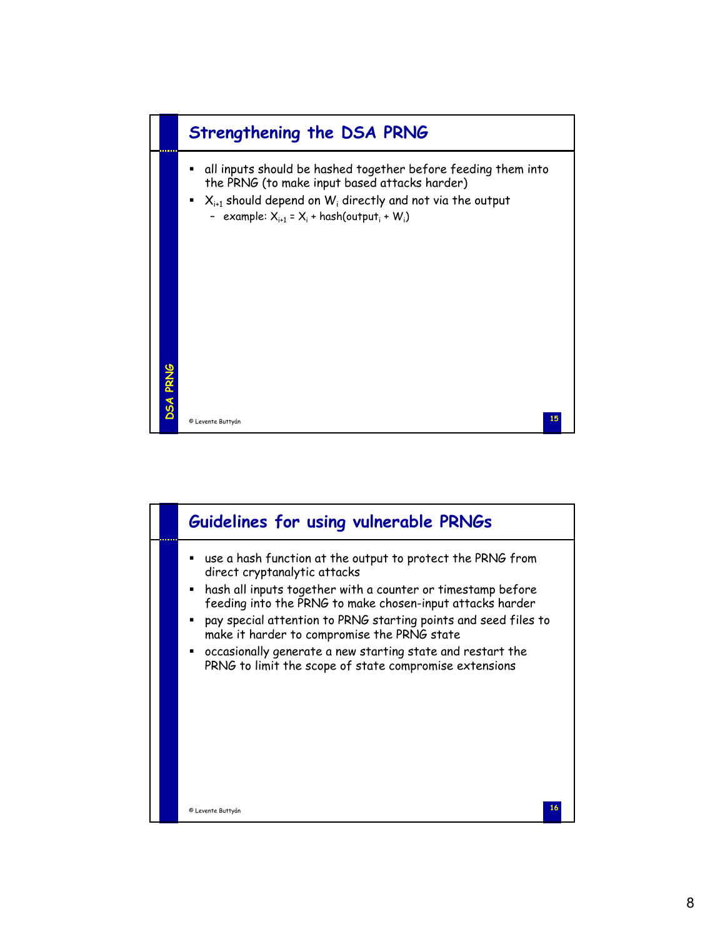

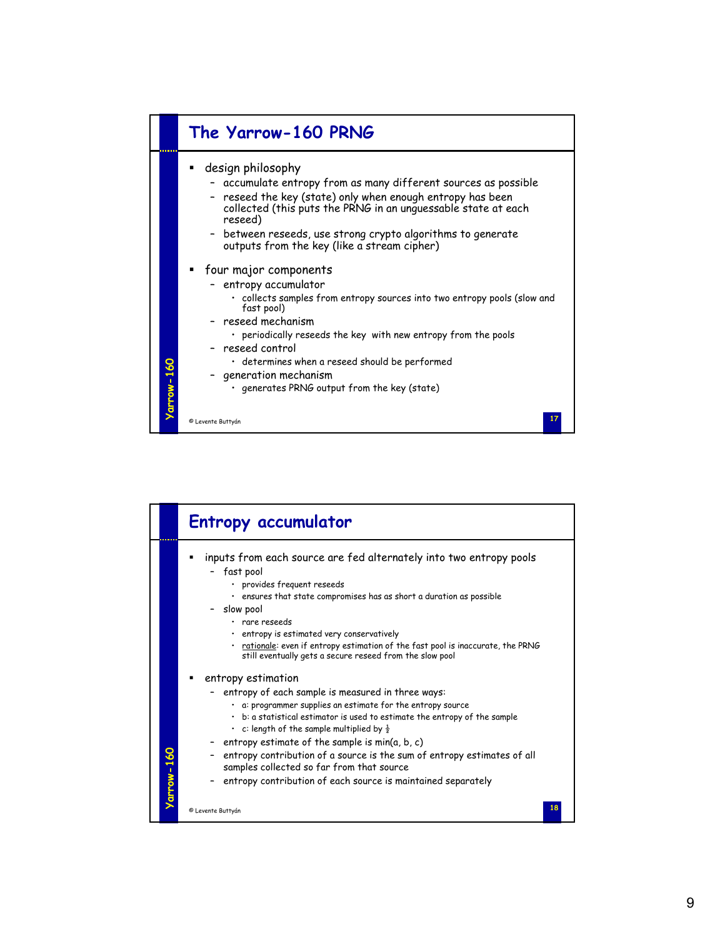

|           | <b>Entropy accumulator</b>                                                                                                                                                                                                                                                                                                                                                                                                                                                                                                  |
|-----------|-----------------------------------------------------------------------------------------------------------------------------------------------------------------------------------------------------------------------------------------------------------------------------------------------------------------------------------------------------------------------------------------------------------------------------------------------------------------------------------------------------------------------------|
|           | inputs from each source are fed alternately into two entropy pools<br>- fast pool<br>· provides frequent reseeds<br>. ensures that state compromises has as short a duration as possible<br>- slow pool<br>· rare reseeds<br>entropy is estimated very conservatively<br>. rationale: even if entropy estimation of the fast pool is inaccurate, the PRNG<br>still eventually gets a secure reseed from the slow pool                                                                                                       |
| arrow-160 | entropy estimation<br>entropy of each sample is measured in three ways:<br>. a: programmer supplies an estimate for the entropy source<br>. b: a statistical estimator is used to estimate the entropy of the sample<br>c: length of the sample multiplied by $\frac{1}{2}$<br>- entropy estimate of the sample is $min(a, b, c)$<br>- entropy contribution of a source is the sum of entropy estimates of all<br>samples collected so far from that source<br>entropy contribution of each source is maintained separately |
|           | 18<br>© Levente Buttyán                                                                                                                                                                                                                                                                                                                                                                                                                                                                                                     |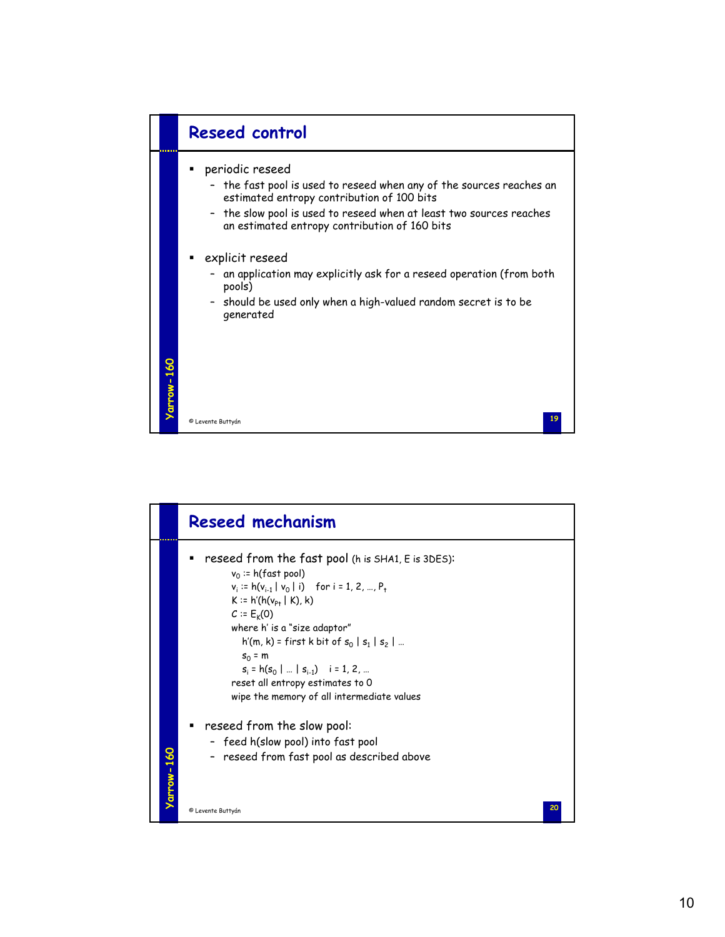

| reseed from the fast pool (h is SHA1, E is 3DES):<br>$v_0$ := h(fast pool)<br>$v_i := h(v_{i-1}   v_0   i)$ for $i = 1, 2, , P_t$<br>$K = h'(h(v_{p_1}   K), k)$<br>$C = E_{k}(0)$<br>where h' is a "size adaptor"<br>$h'(m, k)$ = first k bit of $s_0   s_1   s_2   $<br>$S_0 = m$<br>$s_i = h(s_0      s_{i-1})$ i = 1, 2,<br>reset all entropy estimates to 0<br>wipe the memory of all intermediate values<br>reseed from the slow pool:<br>- feed h(slow pool) into fast pool<br>- reseed from fast pool as described above |    |
|----------------------------------------------------------------------------------------------------------------------------------------------------------------------------------------------------------------------------------------------------------------------------------------------------------------------------------------------------------------------------------------------------------------------------------------------------------------------------------------------------------------------------------|----|
|                                                                                                                                                                                                                                                                                                                                                                                                                                                                                                                                  |    |
|                                                                                                                                                                                                                                                                                                                                                                                                                                                                                                                                  |    |
|                                                                                                                                                                                                                                                                                                                                                                                                                                                                                                                                  |    |
| arrow-160<br>© Levente Buttyán                                                                                                                                                                                                                                                                                                                                                                                                                                                                                                   | 20 |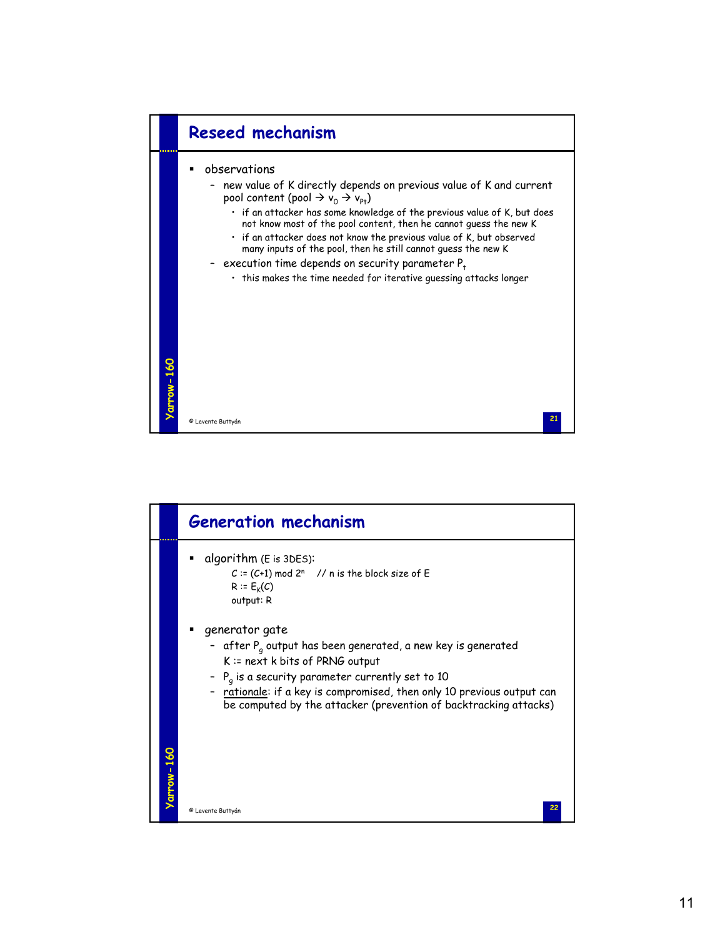

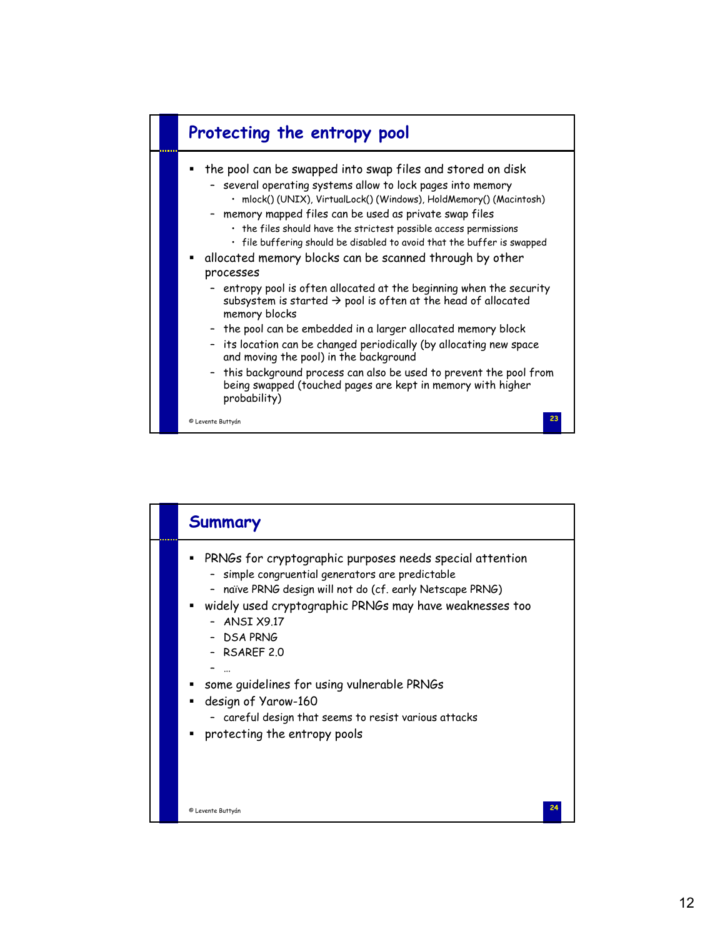

| Summary                                                                                                                                                                                                                                                                                                                                                                                                                                             |
|-----------------------------------------------------------------------------------------------------------------------------------------------------------------------------------------------------------------------------------------------------------------------------------------------------------------------------------------------------------------------------------------------------------------------------------------------------|
| PRNGs for cryptographic purposes needs special attention<br>٠<br>- simple congruential generators are predictable<br>naïve PRNG design will not do (cf. early Netscape PRNG)<br>widely used cryptographic PRNGs may have weaknesses too<br>- ANSI X9.17<br>- DSA PRNG<br>- RSAREF 2.0<br>some guidelines for using vulnerable PRNGs<br>design of Yarow-160<br>- careful design that seems to resist various attacks<br>protecting the entropy pools |
| 24<br>© Levente Buttyán                                                                                                                                                                                                                                                                                                                                                                                                                             |